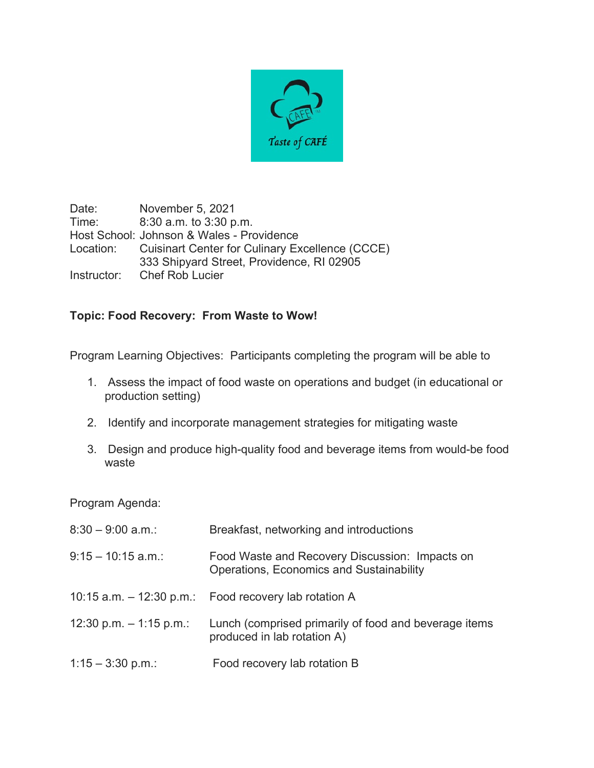

Date: November 5, 2021 Time: 8:30 a.m. to 3:30 p.m. Host School: Johnson & Wales - Providence Location: Cuisinart Center for Culinary Excellence (CCCE) 333 Shipyard Street, Providence, RI 02905 Instructor: Chef Rob Lucier

## **Topic: Food Recovery: From Waste to Wow!**

Program Learning Objectives: Participants completing the program will be able to

- 1. Assess the impact of food waste on operations and budget (in educational or production setting)
- 2. Identify and incorporate management strategies for mitigating waste
- 3. Design and produce high-quality food and beverage items from would-be food waste

Program Agenda:

| $8:30 - 9:00$ a.m.:       | Breakfast, networking and introductions                                                    |
|---------------------------|--------------------------------------------------------------------------------------------|
| $9:15 - 10:15$ a.m.:      | Food Waste and Recovery Discussion: Impacts on<br>Operations, Economics and Sustainability |
|                           | 10:15 a.m. $-$ 12:30 p.m.: Food recovery lab rotation A                                    |
| 12:30 p.m. $-$ 1:15 p.m.: | Lunch (comprised primarily of food and beverage items<br>produced in lab rotation A)       |
| $1:15 - 3:30$ p.m.:       | Food recovery lab rotation B                                                               |